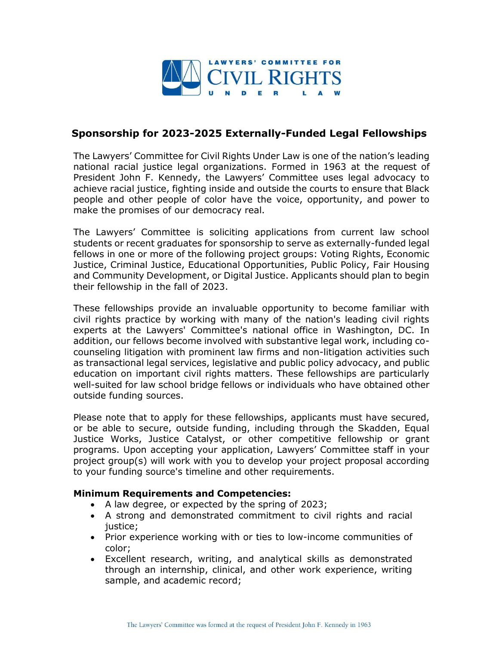

## **Sponsorship for 2023-2025 Externally-Funded Legal Fellowships**

The Lawyers' Committee for Civil Rights Under Law is one of the nation's leading national racial justice legal organizations. Formed in 1963 at the request of President John F. Kennedy, the Lawyers' Committee uses legal advocacy to achieve racial justice, fighting inside and outside the courts to ensure that Black people and other people of color have the voice, opportunity, and power to make the promises of our democracy real.

The Lawyers' Committee is soliciting applications from current law school students or recent graduates for sponsorship to serve as externally-funded legal fellows in one or more of the following project groups: Voting Rights, Economic Justice, Criminal Justice, Educational Opportunities, Public Policy, Fair Housing and Community Development, or Digital Justice. Applicants should plan to begin their fellowship in the fall of 2023.

These fellowships provide an invaluable opportunity to become familiar with civil rights practice by working with many of the nation's leading civil rights experts at the Lawyers' Committee's national office in Washington, DC. In addition, our fellows become involved with substantive legal work, including cocounseling litigation with prominent law firms and non-litigation activities such as transactional legal services, legislative and public policy advocacy, and public education on important civil rights matters. These fellowships are particularly well-suited for law school bridge fellows or individuals who have obtained other outside funding sources.

Please note that to apply for these fellowships, applicants must have secured, or be able to secure, outside funding, including through the Skadden, Equal Justice Works, Justice Catalyst, or other competitive fellowship or grant programs. Upon accepting your application, Lawyers' Committee staff in your project group(s) will work with you to develop your project proposal according to your funding source's timeline and other requirements.

## **Minimum Requirements and Competencies:**

- A law degree, or expected by the spring of 2023;
- A strong and demonstrated commitment to civil rights and racial justice;
- Prior experience working with or ties to low-income communities of color;
- Excellent research, writing, and analytical skills as demonstrated through an internship, clinical, and other work experience, writing sample, and academic record;